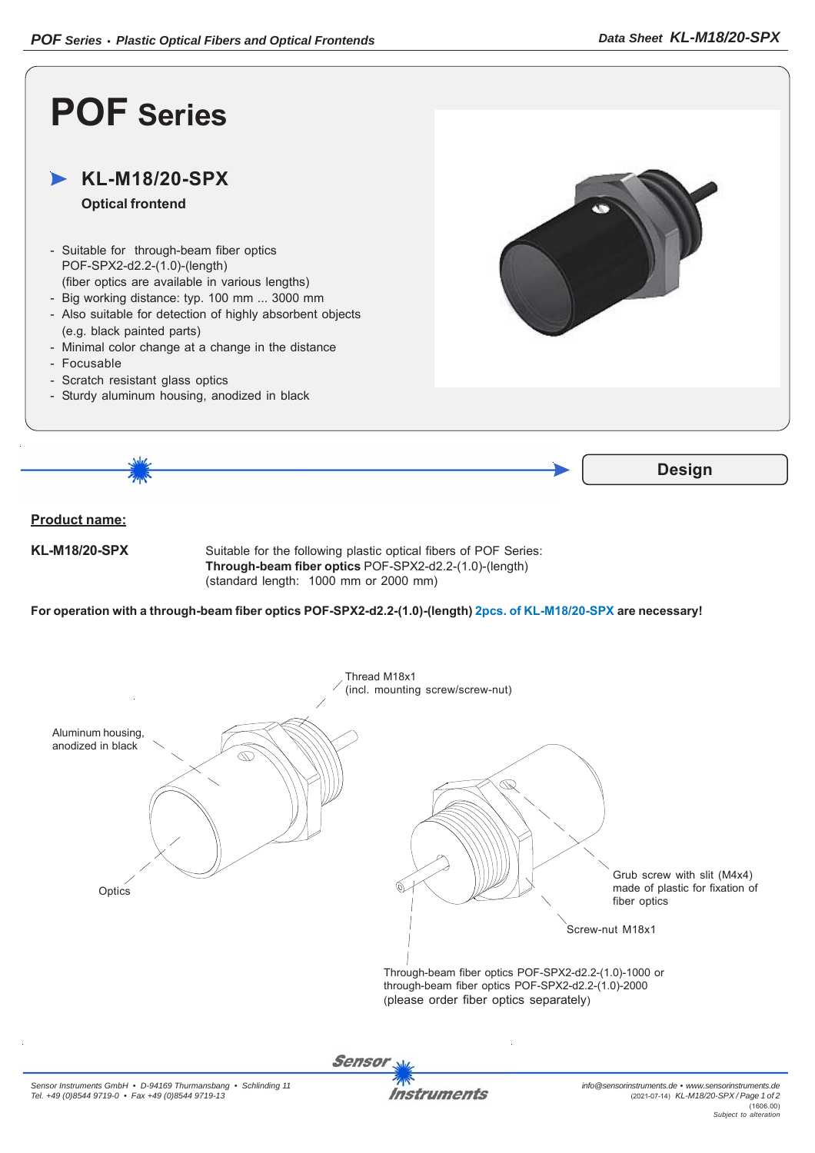

Through-beam fiber optics POF-SPX2-d2.2-(1.0)-1000 or through-beam fiber optics POF-SPX2-d2.2-(1.0)-2000 (please order fiber optics separately)

Sensor